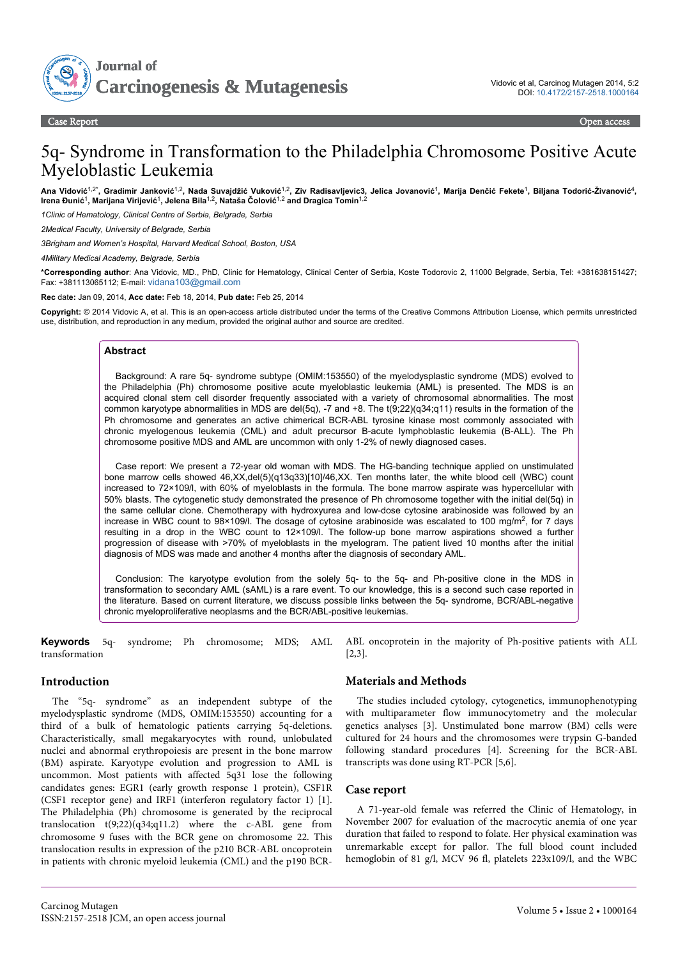

# 5q- Syndrome in Transformation to the Philadelphia Chromosome Positive Acute Myeloblastic Leukemia

Ana Vidović<sup>1,2∗</sup>, Gradimir Janković<sup>1,2</sup>, Nada Suvajdžić Vuković<sup>1,2</sup>, Ziv Radisavljevic3, Jelica Jovanović<sup>1</sup>, Marija Denčić Fekete<sup>1</sup>, Biljana Todorić-Živanović<sup>4</sup>,<br>Irena Đunić<sup>1</sup>, Marijana Virijević<sup>1</sup>, Jelena Bila<sup>1,2</sup>

*1Clinic of Hematology, Clinical Centre of Serbia, Belgrade, Serbia*

*2Medical Faculty, University of Belgrade, Serbia*

*3Brigham and Women's Hospital, Harvard Medical School, Boston, USA*

*4Military Medical Academy, Belgrade, Serbia*

**\*Corresponding author**: Ana Vidovic, MD., PhD, Clinic for Hematology, Clinical Center of Serbia, Koste Todorovic 2, 11000 Belgrade, Serbia, Tel: +381638151427; Fax: +381113065112; E-mail: [vidana103@gmail.com](mailto:vidana103@gmail.com)

#### **Rec** dat**e:** Jan 09, 2014, **Acc date:** Feb 18, 2014, **Pub date:** Feb 25, 2014

**Copyright:** © 2014 Vidovic A, et al. This is an open-access article distributed under the terms of the Creative Commons Attribution License, which permits unrestricted use, distribution, and reproduction in any medium, provided the original author and source are credited.

#### **Abstract**

Background: A rare 5q- syndrome subtype (OMIM:153550) of the myelodysplastic syndrome (MDS) evolved to the Philadelphia (Ph) chromosome positive acute myeloblastic leukemia (AML) is presented. The MDS is an acquired clonal stem cell disorder frequently associated with a variety of chromosomal abnormalities. The most common karyotype abnormalities in MDS are del(5q), -7 and +8. The t(9;22)(q34;q11) results in the formation of the Ph chromosome and generates an active chimerical BCR-ABL tyrosine kinase most commonly associated with chronic myelogenous leukemia (CML) and adult precursor B-acute lymphoblastic leukemia (B-ALL). The Ph chromosome positive MDS and AML are uncommon with only 1-2% of newly diagnosed cases.

Case report: We present a 72-year old woman with MDS. The HG-banding technique applied on unstimulated bone marrow cells showed 46,XX,del(5)(q13q33)[10]/46,XX. Ten months later, the white blood cell (WBC) count increased to 72×109/l, with 60% of myeloblasts in the formula. The bone marrow aspirate was hypercellular with 50% blasts. The cytogenetic study demonstrated the presence of Ph chromosome together with the initial del(5q) in the same cellular clone. Chemotherapy with hydroxyurea and low-dose cytosine arabinoside was followed by an increase in WBC count to 98×109/l. The dosage of cytosine arabinoside was escalated to 100 mg/m<sup>2</sup>, for 7 days resulting in a drop in the WBC count to 12×109/l. The follow-up bone marrow aspirations showed a further progression of disease with >70% of myeloblasts in the myelogram. The patient lived 10 months after the initial diagnosis of MDS was made and another 4 months after the diagnosis of secondary AML.

Conclusion: The karyotype evolution from the solely 5q- to the 5q- and Ph-positive clone in the MDS in transformation to secondary AML (sAML) is a rare event. To our knowledge, this is a second such case reported in the literature. Based on current literature, we discuss possible links between the 5q- syndrome, BCR/ABL-negative chronic myeloproliferative neoplasms and the BCR/ABL-positive leukemias.

**Keywords** 5q- syndrome; Ph chromosome; MDS; AML transformation

#### **Introduction**

The "5q- syndrome" as an independent subtype of the myelodysplastic syndrome (MDS, OMIM:153550) accounting for a third of a bulk of hematologic patients carrying 5q-deletions. Characteristically, small megakaryocytes with round, unlobulated nuclei and abnormal erythropoiesis are present in the bone marrow (BM) aspirate. Karyotype evolution and progression to AML is uncommon. Most patients with affected 5q31 lose the following candidates genes: EGR1 (early growth response 1 protein), CSF1R (CSF1 receptor gene) and IRF1 (interferon regulatory factor 1) [1]. The Philadelphia (Ph) chromosome is generated by the reciprocal translocation  $t(9;22)(q34;q11.2)$  where the c-ABL gene from chromosome 9 fuses with the BCR gene on chromosome 22. This translocation results in expression of the p210 BCR-ABL oncoprotein in patients with chronic myeloid leukemia (CML) and the p190 BCR-

ABL oncoprotein in the majority of Ph-positive patients with ALL [2,3].

### **Materials and Methods**

The studies included cytology, cytogenetics, immunophenotyping with multiparameter flow immunocytometry and the molecular genetics analyses [3]. Unstimulated bone marrow (BM) cells were cultured for 24 hours and the chromosomes were trypsin G-banded following standard procedures [4]. Screening for the BCR-ABL transcripts was done using RT-PCR [5,6].

## **Case report**

A 71-year-old female was referred the Clinic of Hematology, in November 2007 for evaluation of the macrocytic anemia of one year duration that failed to respond to folate. Her physical examination was unremarkable except for pallor. The full blood count included hemoglobin of 81 g/l, MCV 96 fl, platelets 223x109/l, and the WBC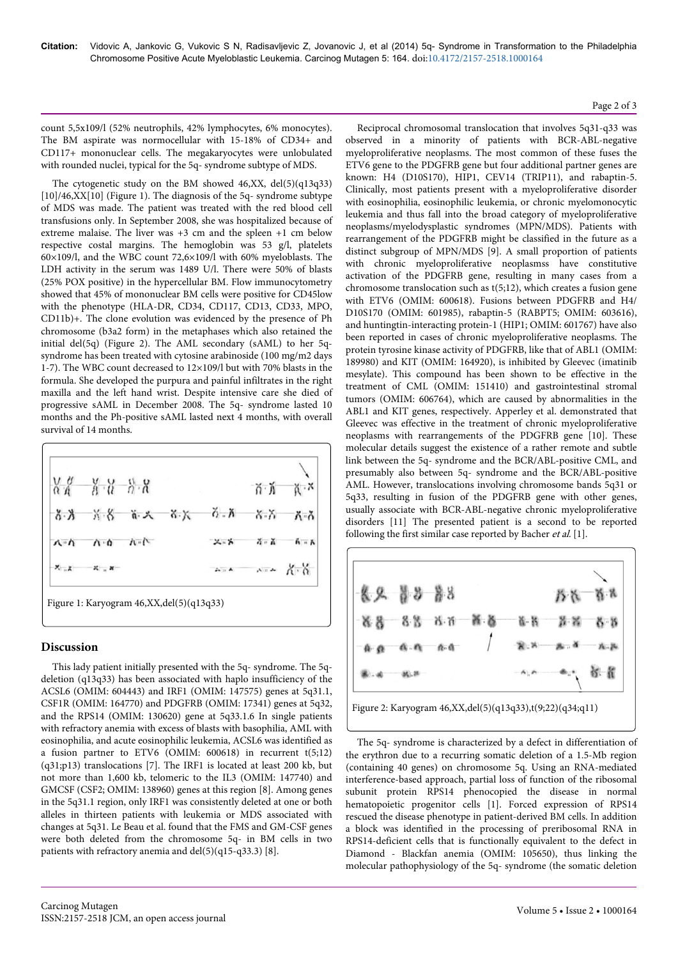count 5,5x109/l (52% neutrophils, 42% lymphocytes, 6% monocytes). The BM aspirate was normocellular with 15-18% of CD34+ and CD117+ mononuclear cells. The megakaryocytes were unlobulated with rounded nuclei, typical for the 5q- syndrome subtype of MDS.

The cytogenetic study on the BM showed 46,XX, del(5)(q13q33) [10]/46,XX[10] (Figure 1). The diagnosis of the 5q- syndrome subtype of MDS was made. The patient was treated with the red blood cell transfusions only. In September 2008, she was hospitalized because of extreme malaise. The liver was +3 cm and the spleen +1 cm below respective costal margins. The hemoglobin was 53 g/l, platelets 60×109/l, and the WBC count 72,6×109/l with 60% myeloblasts. The LDH activity in the serum was 1489 U/l. There were 50% of blasts (25% POX positive) in the hypercellular BM. Flow immunocytometry showed that 45% of mononuclear BM cells were positive for CD45low with the phenotype (HLA-DR, CD34, CD117, CD13, CD33, MPO, CD11b)+. The clone evolution was evidenced by the presence of Ph chromosome (b3a2 form) in the metaphases which also retained the initial del(5q) (Figure 2). The AML secondary (sAML) to her 5qsyndrome has been treated with cytosine arabinoside (100 mg/m2 days 1-7). The WBC count decreased to 12×109/l but with 70% blasts in the formula. She developed the purpura and painful infiltrates in the right maxilla and the left hand wrist. Despite intensive care she died of progressive sAML in December 2008. The 5q- syndrome lasted 10 months and the Ph-positive sAML lasted next 4 months, with overall survival of 14 months.



# **Discussion**

This lady patient initially presented with the 5q- syndrome. The 5qdeletion (q13q33) has been associated with haplo insufficiency of the ACSL6 (OMIM: 604443) and IRF1 (OMIM: 147575) genes at 5q31.1, CSF1R (OMIM: 164770) and PDGFRB (OMIM: 17341) genes at 5q32, and the RPS14 (OMIM: 130620) gene at 5q33.1.6 In single patients with refractory anemia with excess of blasts with basophilia, AML with eosinophilia, and acute eosinophilic leukemia, ACSL6 was identified as a fusion partner to ETV6 (OMIM: 600618) in recurrent t(5;12) (q31;p13) translocations [7]. The IRF1 is located at least 200 kb, but not more than 1,600 kb, telomeric to the IL3 (OMIM: 147740) and GMCSF (CSF2; OMIM: 138960) genes at this region [8]. Among genes in the 5q31.1 region, only IRF1 was consistently deleted at one or both alleles in thirteen patients with leukemia or MDS associated with changes at 5q31. Le Beau et al. found that the FMS and GM-CSF genes were both deleted from the chromosome 5q- in BM cells in two patients with refractory anemia and del(5)(q15-q33.3) [8].

Reciprocal chromosomal translocation that involves 5q31-q33 was observed in a minority of patients with BCR-ABL-negative myeloproliferative neoplasms. The most common of these fuses the ETV6 gene to the PDGFRB gene but four additional partner genes are known: H4 (D10S170), HIP1, CEV14 (TRIP11), and rabaptin-5. Clinically, most patients present with a myeloproliferative disorder with eosinophilia, eosinophilic leukemia, or chronic myelomonocytic leukemia and thus fall into the broad category of myeloproliferative neoplasms/myelodysplastic syndromes (MPN/MDS). Patients with rearrangement of the PDGFRB might be classified in the future as a distinct subgroup of MPN/MDS [9]. A small proportion of patients with chronic myeloproliferative neoplasmss have constitutive activation of the PDGFRB gene, resulting in many cases from a chromosome translocation such as t(5;12), which creates a fusion gene with ETV6 (OMIM: 600618). Fusions between PDGFRB and H4/ D10S170 (OMIM: 601985), rabaptin-5 (RABPT5; OMIM: 603616), and huntingtin-interacting protein-1 (HIP1; OMIM: 601767) have also been reported in cases of chronic myeloproliferative neoplasms. The protein tyrosine kinase activity of PDGFRB, like that of ABL1 (OMIM: 189980) and KIT (OMIM: 164920), is inhibited by Gleevec (imatinib mesylate). This compound has been shown to be effective in the treatment of CML (OMIM: 151410) and gastrointestinal stromal tumors (OMIM: 606764), which are caused by abnormalities in the ABL1 and KIT genes, respectively. Apperley et al. demonstrated that Gleevec was effective in the treatment of chronic myeloproliferative neoplasms with rearrangements of the PDGFRB gene [10]. These molecular details suggest the existence of a rather remote and subtle link between the 5q- syndrome and the BCR/ABL-positive CML, and presumably also between 5q- syndrome and the BCR/ABL-positive AML. However, translocations involving chromosome bands 5q31 or 5q33, resulting in fusion of the PDGFRB gene with other genes, usually associate with BCR-ABL-negative chronic myeloproliferative disorders [11] The presented patient is a second to be reported following the first similar case reported by Bacher *et al.* [1].



The 5q- syndrome is characterized by a defect in differentiation of the erythron due to a recurring somatic deletion of a 1.5-Mb region (containing 40 genes) on chromosome 5q. Using an RNA-mediated interference-based approach, partial loss of function of the ribosomal subunit protein RPS14 phenocopied the disease in normal hematopoietic progenitor cells [1]. Forced expression of RPS14 rescued the disease phenotype in patient-derived BM cells. In addition a block was identified in the processing of preribosomal RNA in RPS14-deficient cells that is functionally equivalent to the defect in Diamond - Blackfan anemia (OMIM: 105650), thus linking the molecular pathophysiology of the 5q- syndrome (the somatic deletion

#### Page 2 of 3